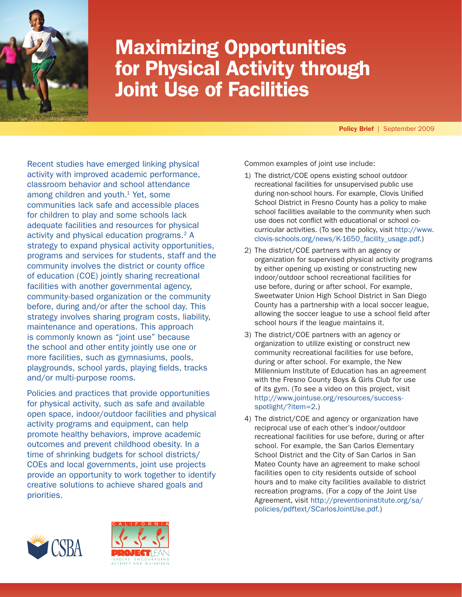

# Maximizing Opportunities for Physical Activity through Joint Use of Facilities

Policy Brief | September 2009

Recent studies have emerged linking physical activity with improved academic performance, classroom behavior and school attendance among children and youth.<sup>1</sup> Yet, some communities lack safe and accessible places for children to play and some schools lack adequate facilities and resources for physical activity and physical education programs.<sup>2</sup> A strategy to expand physical activity opportunities, programs and services for students, staff and the community involves the district or county office of education (COE) jointly sharing recreational facilities with another governmental agency, community-based organization or the community before, during and/or after the school day. This strategy involves sharing program costs, liability, maintenance and operations. This approach is commonly known as "joint use" because the school and other entity jointly use one or more facilities, such as gymnasiums, pools, playgrounds, school yards, playing fields, tracks and/or multi-purpose rooms.

Policies and practices that provide opportunities for physical activity, such as safe and available open space, indoor/outdoor facilities and physical activity programs and equipment, can help promote healthy behaviors, improve academic outcomes and prevent childhood obesity. In a time of shrinking budgets for school districts/ COEs and local governments, joint use projects provide an opportunity to work together to identify creative solutions to achieve shared goals and priorities.

Common examples of joint use include:

- 1) The district/COE opens existing school outdoor recreational facilities for unsupervised public use during non-school hours. For example, Clovis Unified School District in Fresno County has a policy to make school facilities available to the community when such use does not conflict with educational or school cocurricular activities. (To see the policy, visit [http://www.](http://www.clovis-schools.org/news/K-1650_facility_usage.pdf) [clovis-schools.org/news/K-1650\\_facility\\_usage.pdf](http://www.clovis-schools.org/news/K-1650_facility_usage.pdf).)
- 2) The district/COE partners with an agency or organization for supervised physical activity programs by either opening up existing or constructing new indoor/outdoor school recreational facilities for use before, during or after school. For example, Sweetwater Union High School District in San Diego County has a partnership with a local soccer league, allowing the soccer league to use a school field after school hours if the league maintains it.
- 3) The district/COE partners with an agency or organization to utilize existing or construct new community recreational facilities for use before, during or after school. For example, the New Millennium Institute of Education has an agreement with the Fresno County Boys & Girls Club for use of its gym. (To see a video on this project, visit [http://www.jointuse.org/resources/success](http://www.jointuse.org/resources/success-spotlight/?item=2)[spotlight/?item=2](http://www.jointuse.org/resources/success-spotlight/?item=2).)
- 4) The district/COE and agency or organization have reciprocal use of each other's indoor/outdoor recreational facilities for use before, during or after school. For example, the San Carlos Elementary School District and the City of San Carlos in San Mateo County have an agreement to make school facilities open to city residents outside of school hours and to make city facilities available to district recreation programs. (For a copy of the Joint Use Agreement, visit [http://preventioninstitute.org/sa/](http://preventioninstitute.org/sa/policies/pdftext/SCarlosJointUse.pdf) [policies/pdftext/SCarlosJointUse.pdf](http://preventioninstitute.org/sa/policies/pdftext/SCarlosJointUse.pdf).)



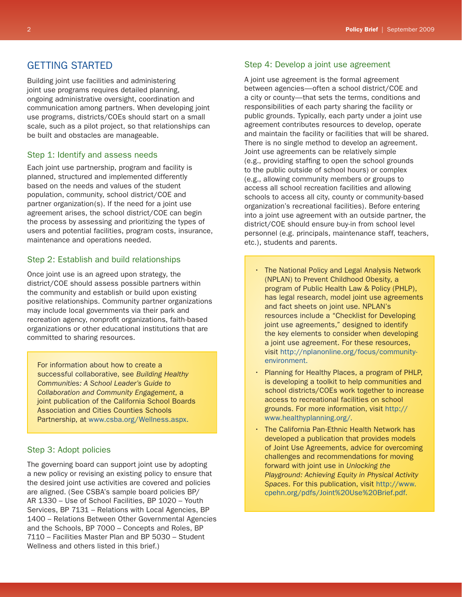# GETTING STARTED

Building joint use facilities and administering joint use programs requires detailed planning, ongoing administrative oversight, coordination and communication among partners. When developing joint use programs, districts/COEs should start on a small scale, such as a pilot project, so that relationships can be built and obstacles are manageable.

## Step 1: Identify and assess needs

Each joint use partnership, program and facility is planned, structured and implemented differently based on the needs and values of the student population, community, school district/COE and partner organization(s). If the need for a joint use agreement arises, the school district/COE can begin the process by assessing and prioritizing the types of users and potential facilities, program costs, insurance, maintenance and operations needed.

# Step 2: Establish and build relationships

Once joint use is an agreed upon strategy, the district/COE should assess possible partners within the community and establish or build upon existing positive relationships. Community partner organizations may include local governments via their park and recreation agency, nonprofit organizations, faith-based organizations or other educational institutions that are committed to sharing resources.

For information about how to create a successful collaborative, see *Building Healthy Communities: A School Leader's Guide to Collaboration and Community Engagement*, a joint publication of the California School Boards Association and Cities Counties Schools Partnership, at <www.csba.org/Wellness.aspx>.

## Step 3: Adopt policies

The governing board can support joint use by adopting a new policy or revising an existing policy to ensure that the desired joint use activities are covered and policies are aligned. (See CSBA's sample board policies BP/ AR 1330 – Use of School Facilities, BP 1020 – Youth Services, BP 7131 – Relations with Local Agencies, BP 1400 – Relations Between Other Governmental Agencies and the Schools, BP 7000 – Concepts and Roles, BP 7110 – Facilities Master Plan and BP 5030 – Student Wellness and others listed in this brief.)

# Step 4: Develop a joint use agreement

A joint use agreement is the formal agreement between agencies—often a school district/COE and a city or county—that sets the terms, conditions and responsibilities of each party sharing the facility or public grounds. Typically, each party under a joint use agreement contributes resources to develop, operate and maintain the facility or facilities that will be shared. There is no single method to develop an agreement. Joint use agreements can be relatively simple (e.g., providing staffing to open the school grounds to the public outside of school hours) or complex (e.g., allowing community members or groups to access all school recreation facilities and allowing schools to access all city, county or community-based organization's recreational facilities). Before entering into a joint use agreement with an outside partner, the district/COE should ensure buy-in from school level personnel (e.g. principals, maintenance staff, teachers, etc.), students and parents.

- The National Policy and Legal Analysis Network (NPLAN) to Prevent Childhood Obesity, a program of Public Health Law & Policy (PHLP), has legal research, model joint use agreements and fact sheets on joint use. NPLAN's resources include a "Checklist for Developing joint use agreements," designed to identify the key elements to consider when developing a joint use agreement. For these resources, visit [http://nplanonline.org/focus/community](http://nplanonline.org/focus/community-environment)[environment](http://nplanonline.org/focus/community-environment).
- Planning for Healthy Places, a program of PHLP, is developing a toolkit to help communities and school districts/COEs work together to increase access to recreational facilities on school grounds. For more information, visit [http://](http://www.healthyplanning.org/newsletter.html) [www.healthyplanning.org/](http://www.healthyplanning.org/newsletter.html).
- The California Pan-Ethnic Health Network has developed a publication that provides models of Joint Use Agreements, advice for overcoming challenges and recommendations for moving forward with joint use in *Unlocking the Playground: Achieving Equity in Physical Activity Spaces*. For this publication, visit [http://www.](http://www.cpehn.org/pdfs/Joint%20Use%20Brief.pdf) [cpehn.org/pdfs/Joint%20Use%20Brief.pdf](http://www.cpehn.org/pdfs/Joint%20Use%20Brief.pdf).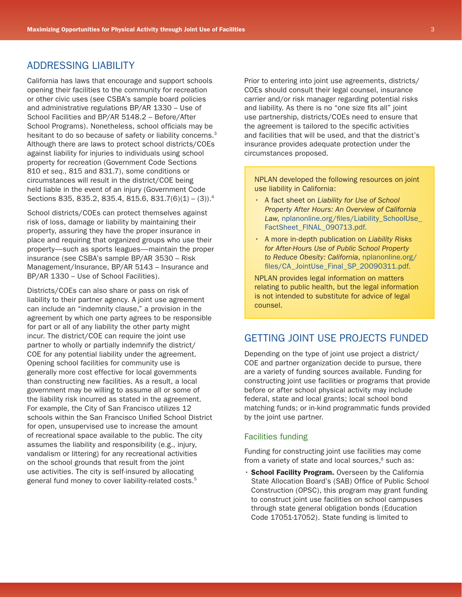# ADDRESSING LIABILITY

California has laws that encourage and support schools opening their facilities to the community for recreation or other civic uses (see CSBA's sample board policies and administrative regulations BP/AR 1330 – Use of School Facilities and BP/AR 5148.2 – Before/After School Programs). Nonetheless, school officials may be hesitant to do so because of safety or liability concerns.<sup>3</sup> Although there are laws to protect school districts/COEs against liability for injuries to individuals using school property for recreation (Government Code Sections 810 *et seq.*, 815 and 831.7), some conditions or circumstances will result in the district/COE being held liable in the event of an injury (Government Code Sections 835, 835.2, 835.4, 815.6, 831.7(6)(1) – (3)).<sup>4</sup>

School districts/COEs can protect themselves against risk of loss, damage or liability by maintaining their property, assuring they have the proper insurance in place and requiring that organized groups who use their property—such as sports leagues—maintain the proper insurance (see CSBA's sample BP/AR 3530 – Risk Management/Insurance, BP/AR 5143 – Insurance and BP/AR 1330 – Use of School Facilities).

Districts/COEs can also share or pass on risk of liability to their partner agency. A joint use agreement can include an "indemnity clause," a provision in the agreement by which one party agrees to be responsible for part or all of any liability the other party might incur. The district/COE can require the joint use partner to wholly or partially indemnify the district/ COE for any potential liability under the agreement. Opening school facilities for community use is generally more cost effective for local governments than constructing new facilities. As a result, a local government may be willing to assume all or some of the liability risk incurred as stated in the agreement. For example, the City of San Francisco utilizes 12 schools within the San Francisco Unified School District for open, unsupervised use to increase the amount of recreational space available to the public. The city assumes the liability and responsibility (e.g., injury, vandalism or littering) for any recreational activities on the school grounds that result from the joint use activities. The city is self-insured by allocating general fund money to cover liability-related costs.<sup>5</sup>

Prior to entering into joint use agreements, districts/ COEs should consult their legal counsel, insurance carrier and/or risk manager regarding potential risks and liability. As there is no "one size fits all" joint use partnership, districts/COEs need to ensure that the agreement is tailored to the specific activities and facilities that will be used, and that the district's insurance provides adequate protection under the circumstances proposed.

NPLAN developed the following resources on joint use liability in California:

- • A fact sheet on *Liability for Use of School Property After Hours: An Overview of California*  Law, nplanonline.org/files/Liability SchoolUse [FactSheet\\_FINAL\\_090713.pdf.](nplanonline.org/files/Liability_SchoolUse_FactSheet_FINAL_090713.pdf)
- • A more in-depth publication on *Liability Risks for After-Hours Use of Public School Property to Reduce Obesity: California*, [nplanonline.org/](nplanonline.org/files/CA_JointUse_Final_SP_20090311.pdf) [files/CA\\_JointUse\\_Final\\_SP\\_20090311.pdf.](nplanonline.org/files/CA_JointUse_Final_SP_20090311.pdf)

NPLAN provides legal information on matters relating to public health, but the legal information is not intended to substitute for advice of legal counsel.

# GETTING JOINT USE PROJECTS FUNDED

Depending on the type of joint use project a district/ COE and partner organization decide to pursue, there are a variety of funding sources available. Funding for constructing joint use facilities or programs that provide before or after school physical activity may include federal, state and local grants; local school bond matching funds; or in-kind programmatic funds provided by the joint use partner.

## Facilities funding

Funding for constructing joint use facilities may come from a variety of state and local sources, $6$  such as:

• School Facility Program. Overseen by the California State Allocation Board's (SAB) Office of Public School Construction (OPSC), this program may grant funding to construct joint use facilities on school campuses through state general obligation bonds (Education Code 17051-17052). State funding is limited to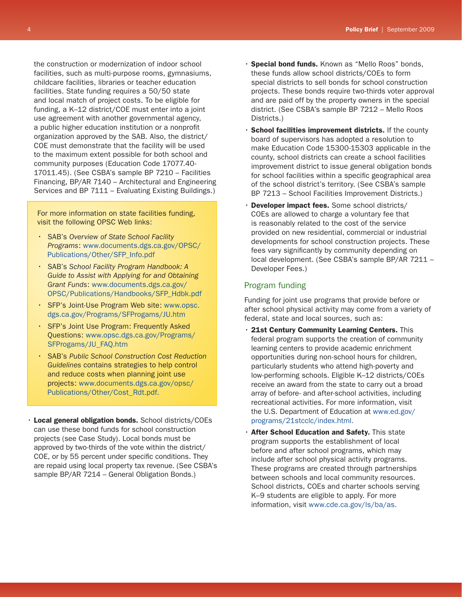the construction or modernization of indoor school facilities, such as multi-purpose rooms, gymnasiums, childcare facilities, libraries or teacher education facilities. State funding requires a 50/50 state and local match of project costs. To be eligible for funding, a K–12 district/COE must enter into a joint use agreement with another governmental agency, a public higher education institution or a nonprofit organization approved by the SAB. Also, the district/ COE must demonstrate that the facility will be used to the maximum extent possible for both school and community purposes (Education Code 17077.40- 17011.45). (See CSBA's sample BP 7210 – Facilities Financing, BP/AR 7140 – Architectural and Engineering Services and BP 7111 – Evaluating Existing Buildings.)

For more information on state facilities funding, visit the following OPSC Web links:

- • SAB's *Overview of State School Facility Programs*: [www.documents.dgs.ca.gov/OPSC/](www.documents.dgs.ca.gov/OPSC/Publications/Other/SFP_Info.pdf) [Publications/Other/SFP\\_Info.pdf](www.documents.dgs.ca.gov/OPSC/Publications/Other/SFP_Info.pdf)
- **SAB's School Facility Program Handbook: A** *Guide to Assist with Applying for and Obtaining Grant Funds*: [www.documents.dgs.ca.gov/](www.documents.dgs.ca.gov/OPSC/Publications/Handbooks/SFP_Hdbk.pdf) [OPSC/Publications/Handbooks/SFP\\_Hdbk.pdf](www.documents.dgs.ca.gov/OPSC/Publications/Handbooks/SFP_Hdbk.pdf)
- • SFP's Joint-Use Program Web site: [www.opsc.](www.opsc.dgs.ca.gov/Programs/SFProgams/JU.htm) [dgs.ca.gov/Programs/SFProgams/JU.htm](www.opsc.dgs.ca.gov/Programs/SFProgams/JU.htm)
- • SFP's Joint Use Program: Frequently Asked Questions: [www.opsc.dgs.ca.gov/Programs/](www.opsc.dgs.ca.gov/Programs/SFProgams/JU_FAQ.htm) [SFProgams/JU\\_FAQ.htm](www.opsc.dgs.ca.gov/Programs/SFProgams/JU_FAQ.htm)
- • SAB's *Public School Construction Cost Reduction Guidelines* contains strategies to help control and reduce costs when planning joint use projects: [www.documents.dgs.ca.gov/opsc/](www.documents.dgs.ca.gov/opsc/Publications/Other/Cost_Rdt.pdf) [Publications/Other/Cost\\_Rdt.pdf](www.documents.dgs.ca.gov/opsc/Publications/Other/Cost_Rdt.pdf).
- Local general obligation bonds. School districts/COEs can use these bond funds for school construction projects (see Case Study). Local bonds must be approved by two-thirds of the vote within the district/ COE, or by 55 percent under specific conditions. They are repaid using local property tax revenue. (See CSBA's sample BP/AR 7214 – General Obligation Bonds.)
- · Special bond funds. Known as "Mello Roos" bonds, these funds allow school districts/COEs to form special districts to sell bonds for school construction projects. These bonds require two-thirds voter approval and are paid off by the property owners in the special district. (See CSBA's sample BP 7212 – Mello Roos Districts.)
- School facilities improvement districts. If the county board of supervisors has adopted a resolution to make Education Code 15300-15303 applicable in the county, school districts can create a school facilities improvement district to issue general obligation bonds for school facilities within a specific geographical area of the school district's territory. (See CSBA's sample BP 7213 – School Facilities Improvement Districts.)
- Developer impact fees. Some school districts/ COEs are allowed to charge a voluntary fee that is reasonably related to the cost of the service provided on new residential, commercial or industrial developments for school construction projects. These fees vary significantly by community depending on local development. (See CSBA's sample BP/AR 7211 – Developer Fees.)

# Program funding

Funding for joint use programs that provide before or after school physical activity may come from a variety of federal, state and local sources, such as:

- $\cdot$  21st Century Community Learning Centers. This federal program supports the creation of community learning centers to provide academic enrichment opportunities during non-school hours for children, particularly students who attend high-poverty and low-performing schools. Eligible K–12 districts/COEs receive an award from the state to carry out a broad array of before- and after-school activities, including recreational activities. For more information, visit the U.S. Department of Education at [www.ed.gov/](www.ed.gov/programs/21stcclc/index.html) [programs/21stcclc/index.html.](www.ed.gov/programs/21stcclc/index.html)
- **· After School Education and Safety.** This state program supports the establishment of local before and after school programs, which may include after school physical activity programs. These programs are created through partnerships between schools and local community resources. School districts, COEs and charter schools serving K–9 students are eligible to apply. For more information, visit<www.cde.ca.gov/ls/ba/as>.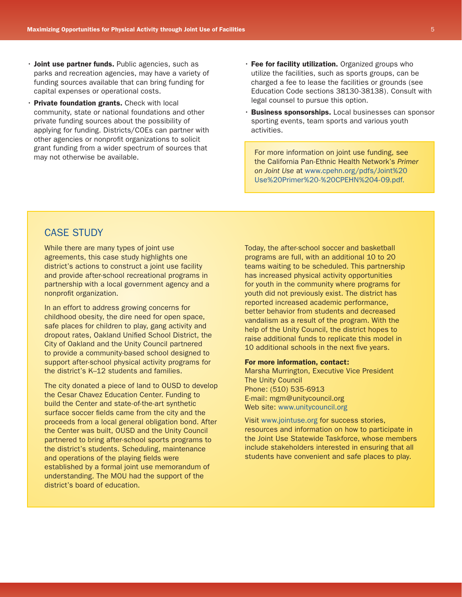- Joint use partner funds. Public agencies, such as parks and recreation agencies, may have a variety of funding sources available that can bring funding for capital expenses or operational costs.
- Private foundation grants. Check with local community, state or national foundations and other private funding sources about the possibility of applying for funding. Districts/COEs can partner with other agencies or nonprofit organizations to solicit grant funding from a wider spectrum of sources that may not otherwise be available.
- $\cdot$  Fee for facility utilization. Organized groups who utilize the facilities, such as sports groups, can be charged a fee to lease the facilities or grounds (see Education Code sections 38130-38138). Consult with legal counsel to pursue this option.
- Business sponsorships. Local businesses can sponsor sporting events, team sports and various youth activities.

For more information on joint use funding, see the California Pan-Ethnic Health Network's *Primer on Joint Use* at [www.cpehn.org/pdfs/Joint%20](www.cpehn.org/pdfs/Joint%20Use%20Primer%20-%20CPEHN%204-09.pdf) [Use%20Primer%20-%20CPEHN%204-09.pdf](www.cpehn.org/pdfs/Joint%20Use%20Primer%20-%20CPEHN%204-09.pdf).

# CASE STUDY

While there are many types of joint use agreements, this case study highlights one district's actions to construct a joint use facility and provide after-school recreational programs in partnership with a local government agency and a nonprofit organization.

In an effort to address growing concerns for childhood obesity, the dire need for open space, safe places for children to play, gang activity and dropout rates, Oakland Unified School District, the City of Oakland and the Unity Council partnered to provide a community-based school designed to support after-school physical activity programs for the district's K–12 students and families.

The city donated a piece of land to OUSD to develop the Cesar Chavez Education Center. Funding to build the Center and state-of-the-art synthetic surface soccer fields came from the city and the proceeds from a local general obligation bond. After the Center was built, OUSD and the Unity Council partnered to bring after-school sports programs to the district's students. Scheduling, maintenance and operations of the playing fields were established by a formal joint use memorandum of understanding. The MOU had the support of the district's board of education.

Today, the after-school soccer and basketball programs are full, with an additional 10 to 20 teams waiting to be scheduled. This partnership has increased physical activity opportunities for youth in the community where programs for youth did not previously exist. The district has reported increased academic performance, better behavior from students and decreased vandalism as a result of the program. With the help of the Unity Council, the district hopes to raise additional funds to replicate this model in 10 additional schools in the next five years.

#### For more information, contact:

Marsha Murrington, Executive Vice President The Unity Council Phone: (510) 535-6913 E-mail: mgm@unitycouncil.org Web site: <www.unitycouncil.org>

Visit<www.jointuse.org>for success stories, resources and information on how to participate in the Joint Use Statewide Taskforce, whose members include stakeholders interested in ensuring that all students have convenient and safe places to play.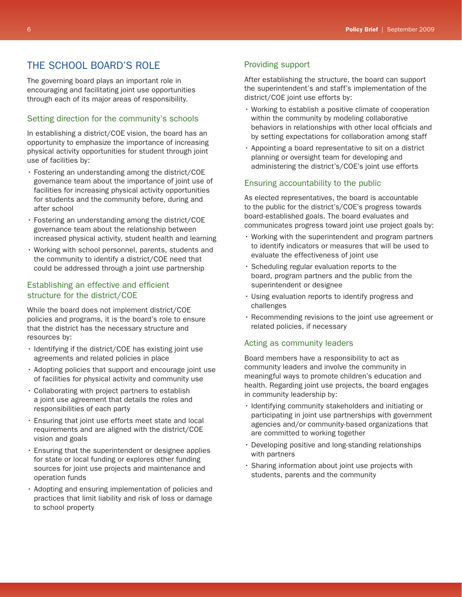# THE SCHOOL BOARD'S ROLE

The governing board plays an important role in encouraging and facilitating joint use opportunities through each of its major areas of responsibility.

# Setting direction for the community's schools

In establishing a district/COE vision, the board has an opportunity to emphasize the importance of increasing physical activity opportunities for student through joint use of facilities by:

- $\cdot$  Fostering an understanding among the district/COE governance team about the importance of joint use of facilities for increasing physical activity opportunities for students and the community before, during and after school
- $\cdot$  Fostering an understanding among the district/COE governance team about the relationship between increased physical activity, student health and learning
- • Working with school personnel, parents, students and the community to identify a district/COE need that could be addressed through a joint use partnership

# Establishing an effective and efficient structure for the district/COE

While the board does not implement district/COE policies and programs, it is the board's role to ensure that the district has the necessary structure and resources by:

- $\cdot$  Identifying if the district/COE has existing joint use agreements and related policies in place
- $\cdot$  Adopting policies that support and encourage joint use of facilities for physical activity and community use
- • Collaborating with project partners to establish a joint use agreement that details the roles and responsibilities of each party
- • Ensuring that joint use efforts meet state and local requirements and are aligned with the district/COE vision and goals
- • Ensuring that the superintendent or designee applies for state or local funding or explores other funding sources for joint use projects and maintenance and operation funds
- • Adopting and ensuring implementation of policies and practices that limit liability and risk of loss or damage to school property

## Providing support

After establishing the structure, the board can support the superintendent's and staff's implementation of the district/COE joint use efforts by:

- • Working to establish a positive climate of cooperation within the community by modeling collaborative behaviors in relationships with other local officials and by setting expectations for collaboration among staff
- • Appointing a board representative to sit on a district planning or oversight team for developing and administering the district's/COE's joint use efforts

## Ensuring accountability to the public

As elected representatives, the board is accountable to the public for the district's/COE's progress towards board-established goals. The board evaluates and communicates progress toward joint use project goals by:

- • Working with the superintendent and program partners to identify indicators or measures that will be used to evaluate the effectiveness of joint use
- • Scheduling regular evaluation reports to the board, program partners and the public from the superintendent or designee
- Using evaluation reports to identify progress and challenges
- • Recommending revisions to the joint use agreement or related policies, if necessary

## Acting as community leaders

Board members have a responsibility to act as community leaders and involve the community in meaningful ways to promote children's education and health. Regarding joint use projects, the board engages in community leadership by:

- • Identifying community stakeholders and initiating or participating in joint use partnerships with government agencies and/or community-based organizations that are committed to working together
- Developing positive and long-standing relationships with partners
- Sharing information about joint use projects with students, parents and the community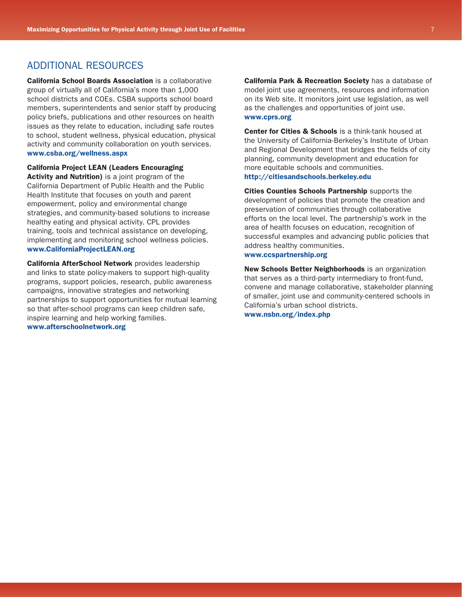# ADDITIONAL RESOURCES

California School Boards Association is a collaborative group of virtually all of California's more than 1,000 school districts and COEs. CSBA supports school board members, superintendents and senior staff by producing policy briefs, publications and other resources on health issues as they relate to education, including safe routes to school, student wellness, physical education, physical activity and community collaboration on youth services. <www.csba.org/wellness.aspx>

California Project LEAN (Leaders Encouraging Activity and Nutrition) is a joint program of the California Department of Public Health and the Public Health Institute that focuses on youth and parent empowerment, policy and environmental change strategies, and community-based solutions to increase healthy eating and physical activity. CPL provides training, tools and technical assistance on developing, implementing and monitoring school wellness policies. <www.CaliforniaProjectLEAN.org>

California AfterSchool Network provides leadership and links to state policy-makers to support high-quality programs, support policies, research, public awareness campaigns, innovative strategies and networking partnerships to support opportunities for mutual learning so that after-school programs can keep children safe, inspire learning and help working families. <www.afterschoolnetwork.org>

**California Park & Recreation Society** has a database of model joint use agreements, resources and information on its Web site. It monitors joint use legislation, as well as the challenges and opportunities of joint use. <www.cprs.org>

**Center for Cities & Schools** is a think-tank housed at the University of California-Berkeley's Institute of Urban and Regional Development that bridges the fields of city planning, community development and education for more equitable schools and communities. <http://citiesandschools.berkeley.edu>

Cities Counties Schools Partnership supports the development of policies that promote the creation and preservation of communities through collaborative efforts on the local level. The partnership's work in the area of health focuses on education, recognition of successful examples and advancing public policies that address healthy communities.

#### <www.ccspartnership.org>

New Schools Better Neighborhoods is an organization that serves as a third-party intermediary to front-fund, convene and manage collaborative, stakeholder planning of smaller, joint use and community-centered schools in California's urban school districts.

<www.nsbn.org/index.php>